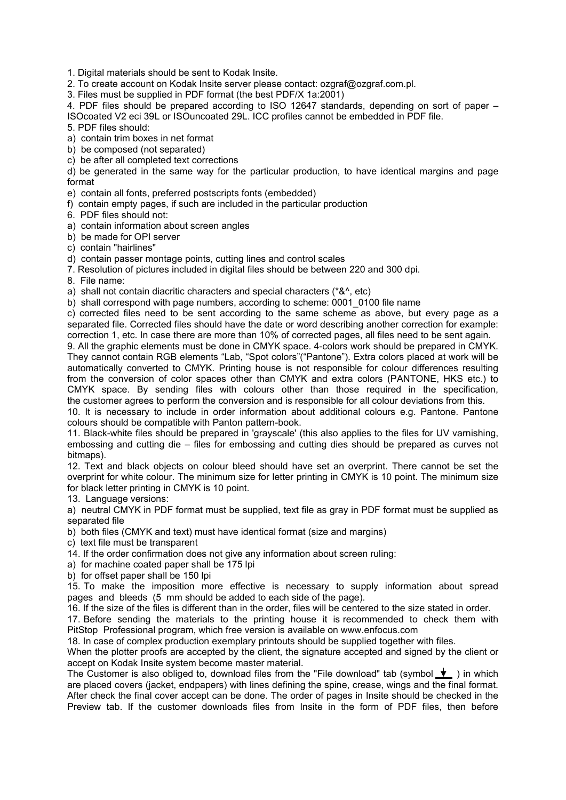1. Digital materials should be sent to Kodak Insite.

2. To create account on Kodak Insite server please contact: ozgraf@ozgraf.com.pl.

3. Files must be supplied in PDF format (the best PDF/X 1a:2001)

4. PDF files should be prepared according to ISO 12647 standards, depending on sort of paper – ISOcoated V2 eci 39L or ISOuncoated 29L. ICC profiles cannot be embedded in PDF file.

5. PDF files should:

a) contain trim boxes in net format

b) be composed (not separated)

c) be after all completed text corrections

d) be generated in the same way for the particular production, to have identical margins and page format

e) contain all fonts, preferred postscripts fonts (embedded)

f) contain empty pages, if such are included in the particular production

6. PDF files should not:

a) contain information about screen angles

b) be made for OPI server

c) contain "hairlines"

d) contain passer montage points, cutting lines and control scales

7. Resolution of pictures included in digital files should be between 220 and 300 dpi.

8. File name:

a) shall not contain diacritic characters and special characters (\*&^, etc)

b) shall correspond with page numbers, according to scheme: 0001\_0100 file name

c) corrected files need to be sent according to the same scheme as above, but every page as a separated file. Corrected files should have the date or word describing another correction for example: correction 1, etc. In case there are more than 10% of corrected pages, all files need to be sent again.

9. All the graphic elements must be done in CMYK space. 4-colors work should be prepared in CMYK. They cannot contain RGB elements "Lab, "Spot colors"("Pantone"). Extra colors placed at work will be automatically converted to CMYK. Printing house is not responsible for colour differences resulting from the conversion of color spaces other than CMYK and extra colors (PANTONE, HKS etc.) to CMYK space. By sending files with colours other than those required in the specification, the customer agrees to perform the conversion and is responsible for all colour deviations from this.

10. It is necessary to include in order information about additional colours e.g. Pantone. Pantone colours should be compatible with Panton pattern-book.

11. Black-white files should be prepared in 'grayscale' (this also applies to the files for UV varnishing, embossing and cutting die – files for embossing and cutting dies should be prepared as curves not bitmaps).

12. Text and black objects on colour bleed should have set an overprint. There cannot be set the overprint for white colour. The minimum size for letter printing in CMYK is 10 point. The minimum size for black letter printing in CMYK is 10 point.

13. Language versions:

a) neutral CMYK in PDF format must be supplied, text file as gray in PDF format must be supplied as separated file

b) both files (CMYK and text) must have identical format (size and margins)

c) text file must be transparent

14. If the order confirmation does not give any information about screen ruling:

a) for machine coated paper shall be 175 lpi

b) for offset paper shall be 150 lpi

15. To make the imposition more effective is necessary to supply information about spread pages and bleeds (5 mm should be added to each side of the page).

16. If the size of the files is different than in the order, files will be centered to the size stated in order.

17. Before sending the materials to the printing house it is recommended to check them with PitStop Professional program, which free version is available on www.enfocus.com

18. In case of complex production exemplary printouts should be supplied together with files.

When the plotter proofs are accepted by the client, the signature accepted and signed by the client or accept on Kodak Insite system become master material.

The Customer is also obliged to, download files from the "File download" tab (symbol  $\bigstar$ ) in which are placed covers (jacket, endpapers) with lines defining the spine, crease, wings and the final format. After check the final cover accept can be done. The order of pages in Insite should be checked in the Preview tab. If the customer downloads files from Insite in the form of PDF files, then before